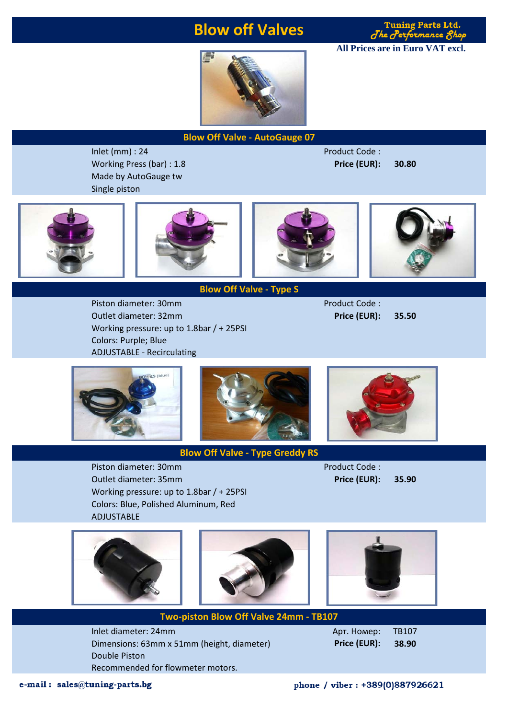### **Blow off Valves**



**All Prices are in Euro VAT excl.**



**Blow Off Valve - AutoGauge 07**

Inlet (mm) : 24 Product Code : Working Press (bar) : 1.8 **Price (EUR): 30.80** Made by AutoGauge tw Single piston









**Blow Off Valve - Type S**

Piston diameter: 30mm Product Code : Outlet diameter: 32mm **Price (EUR): 35.50** Working pressure: up to 1.8bar / + 25PSI Colors: Purple; Blue ADJUSTABLE - Recirculating





Piston diameter: 30mm Piston diameter: 30mm Outlet diameter: 35mm **Price (EUR): 35.90** Working pressure: up to 1.8bar / + 25PSI Colors: Blue, Polished Aluminum, Red ADJUSTABLE





**Blow Off Valve - Type Greddy RS**



Inlet diameter: 24mm **Арт. Номер:** TB107 Dimensions: 63mm x 51mm (height, diameter) **Price (EUR): 38.90** Double Piston Recommended for flowmeter motors. **Two-piston Blow Off Valve 24mm - TB107**

e-mail: sales@tuning-parts.bg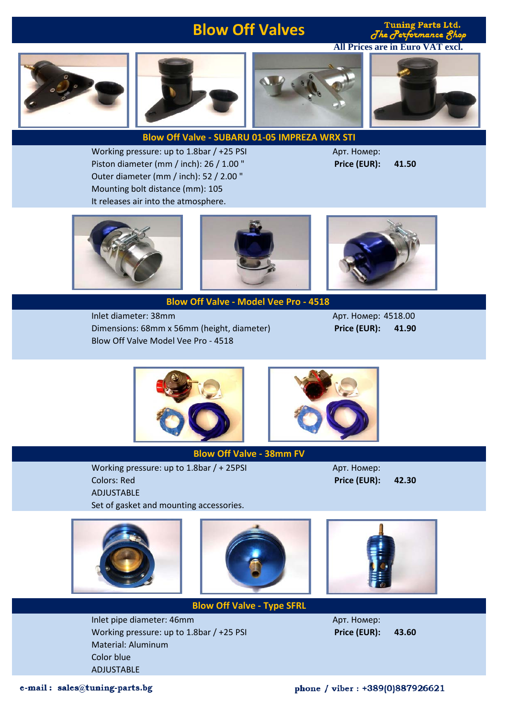# **Blow Off Valves**

**Tuning Parts Ltd.** The Performance 8hop

**All Prices are in Euro VAT excl.**









### **Blow Off Valve - SUBARU 01-05 IMPREZA WRX STI**

Working pressure: up to 1.8bar / +25 PSI Миллинген Арт. Номер: Piston diameter (mm / inch): 26 / 1.00 " **Price (EUR): 41.50** Outer diameter (mm / inch): 52 / 2.00 " Mounting bolt distance (mm): 105 It releases air into the atmosphere.





**Blow Off Valve - Model Vee Pro - 4518** 

Inlet diameter: 38mm Арт. Номер: 4518.00 Dimensions: 68mm x 56mm (height, diameter) **Price (EUR): 41.90** Blow Off Valve Model Vee Pro - 4518







#### **Blow Off Valve - 38mm FV**

**Blow Off Valve - Type SFRL**

Working pressure: up to 1.8bar / + 25PSI Арт. Номер: Colors: Red **Price (EUR): 42.30** ADJUSTABLE Set of gasket and mounting accessories.



Inlet pipe diameter: 46mm Арт. Номер: Working pressure: up to 1.8bar / +25 PSI **Price (EUR): 43.60** Material: Aluminum Color blue ADJUSTABLE

e-mail: sales@tuning-parts.bg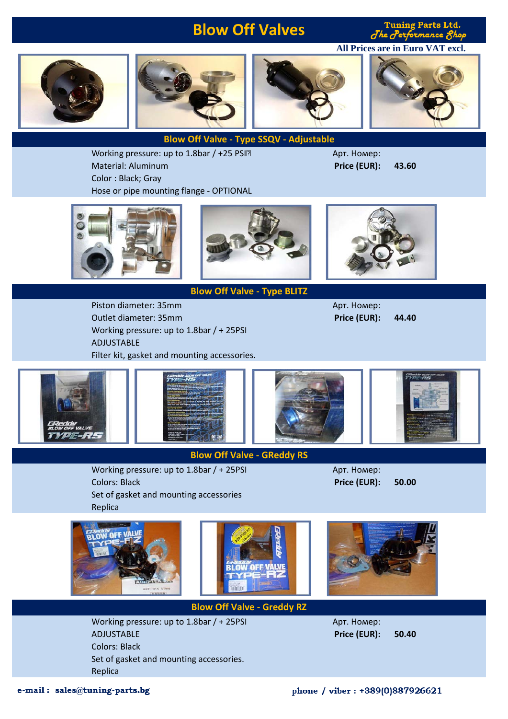# **Blow Off Valves**

**Tuning Parts Ltd.** The Performance Shop

**All Prices are in Euro VAT excl.**









**Blow Off Valve - Type SSQV - Adjustable**

Арт. Номер:

Working pressure: up to 1.8bar / +25 PSI? Material: Aluminum **Price (EUR): 43.60** Color : Black; Gray Hose or pipe mounting flange - OPTIONAL



**Blow Off Valve - Type BLITZ**

Piston diameter: 35mm **Арт. Номер:** Арт. Номер: Outlet diameter: 35mm **Price (EUR): 44.40** Working pressure: up to 1.8bar / + 25PSI ADJUSTABLE Filter kit, gasket and mounting accessories.



### **Blow Off Valve - GReddy RS**

Working pressure: up to 1.8bar / + 25PSI Арт. Номер: Colors: Black **Price (EUR): 50.00**

Set of gasket and mounting accessories Replica





**Blow Off Valve - Greddy RZ**

Working pressure: up to  $1.8$ bar  $/ + 25$ PSI  $\qquad \qquad$  Арт. Номер: ADJUSTABLE **Price (EUR): 50.40** Colors: Black Set of gasket and mounting accessories. Replica

e-mail: sales@tuning-parts.bg